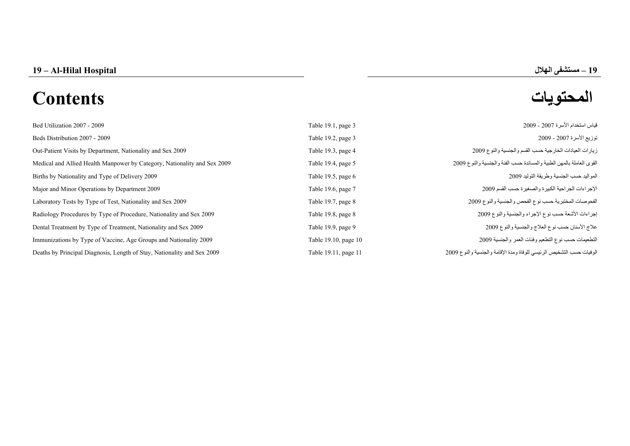**19 – Al-Hilal Hospital 19 الهلال مستشفى**

# **المحتويات Contents**

| Bed Utilization 2007 - 2009                                              | Table 19.1, page 3   | قياس استخدام الأسرة 2007 - 2009                                      |
|--------------------------------------------------------------------------|----------------------|----------------------------------------------------------------------|
| Beds Distribution 2007 - 2009                                            | Table 19.2, page 3   | توزيع الأسرة 2007 - 2009                                             |
| Out-Patient Visits by Department, Nationality and Sex 2009               | Table 19.3, page 4   | زيارات العيادات الخارجية حسب القسم والجنسية والنوع 2009              |
| Medical and Allied Health Manpower by Category, Nationality and Sex 2009 | Table 19.4, page 5   | القوى العاملة بالمهن الطبية والمساندة حسب الفئة والجنسية والنوع 2009 |
| Births by Nationality and Type of Delivery 2009                          | Table 19.5, page 6   | المواليد حسب الجنسية وطريقة التوليد 2009                             |
| Major and Minor Operations by Department 2009                            | Table 19.6, page 7   | الإجراءات الجراحية الكبيرة والصغيرة حسب القسم 2009                   |
| Laboratory Tests by Type of Test, Nationality and Sex 2009               | Table 19.7, page 8   | الفحوصات المختبرية حسب نوع الفحص والجنسية والنوع 2009                |
| Radiology Procedures by Type of Procedure, Nationality and Sex 2009      | Table 19.8, page 8   | إجراءات الأشعة حسب نوع الإجراء والجنسية والنوع 2009                  |
| Dental Treatment by Type of Treatment, Nationality and Sex 2009          | Table 19.9, page 9   | علاج الأسنان حسب نوع العلاج والجنسية والنوع 2009                     |
| Immunizations by Type of Vaccine, Age Groups and Nationality 2009        | Table 19.10, page 10 | التطعيمات حسب نوع التطعيم وفئات العمر والجنسية 2009                  |
| Deaths by Principal Diagnosis, Length of Stay, Nationality and Sex 2009  | Table 19.11, page 11 | الوفيات حسب التشخيص الرئيسي للوفاة ومدة الإقامة والجنسية والنوع 2009 |

**–**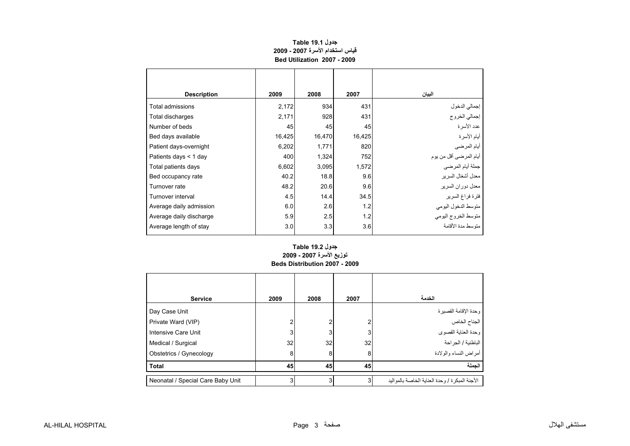# **قياس استخدام الأسرة 2007 - 2009 Bed Utilization 2007 - 2009جدول 19.1 Table**

<span id="page-1-0"></span>

| <b>Description</b>      | 2009   | 2008   | 2007   | البيان                  |
|-------------------------|--------|--------|--------|-------------------------|
| Total admissions        | 2,172  | 934    | 431    | إجمالي الدخول           |
| Total discharges        | 2,171  | 928    | 431    | إجمالي الخروج           |
| Number of beds          | 45     | 45     | 45     | عدد الأسرة              |
| Bed days available      | 16,425 | 16,470 | 16,425 | أيام الأسرة             |
| Patient days-overnight  | 6,202  | 1,771  | 820    | أيام المرضي             |
| Patients days < 1 day   | 400    | 1.324  | 752    | أيام المرضىي أقل من يوم |
| Total patients days     | 6,602  | 3,095  | 1,572  | جملة أيام المرضى        |
| Bed occupancy rate      | 40.2   | 18.8   | 9.6    | معدل أشغال السرير       |
| Turnover rate           | 48.2   | 20.6   | 9.6    | معدل دور ان السر بر     |
| Turnover interval       | 4.5    | 14.4   | 34.5   | فترة فراغ السرير        |
| Average daily admission | 6.0    | 2.6    | 1.2    | متوسط الدخول اليومي     |
| Average daily discharge | 5.9    | 2.5    | 1.2    | متوسط الخروج اليومى     |
| Average length of stay  | 3.0    | 3.3    | 3.6    | منوسط مدة الأقامة       |

#### **Beds Distribution 2007 - 2009جدول 19.2 Table توزيع الأسرة 2007 - 2009**

| <b>Service</b>                    | 2009 | 2008 | 2007 | الخدمة                                            |
|-----------------------------------|------|------|------|---------------------------------------------------|
| Day Case Unit                     |      |      |      |                                                   |
| Private Ward (VIP)                | 2    | 2    | 2    | وحدة الإقامة القصيرة<br>الجناح الخاص              |
| Intensive Care Unit               | 3    | 3    | 3    | ـ<br>وحدة العناية القصوي                          |
| Medical / Surgical                | 32   | 32   | 32   | الباطنية / الجراحة                                |
| Obstetrics / Gynecology           | 8    | 8    | 8    | أمراض النساء والولادة                             |
| <b>Total</b>                      | 45   | 45   | 45   | الجملة                                            |
| Neonatal / Special Care Baby Unit | 3    | 3    | 3    | الأجنة المبكر ة / و حدة العناية الخاصة بالمو اليد |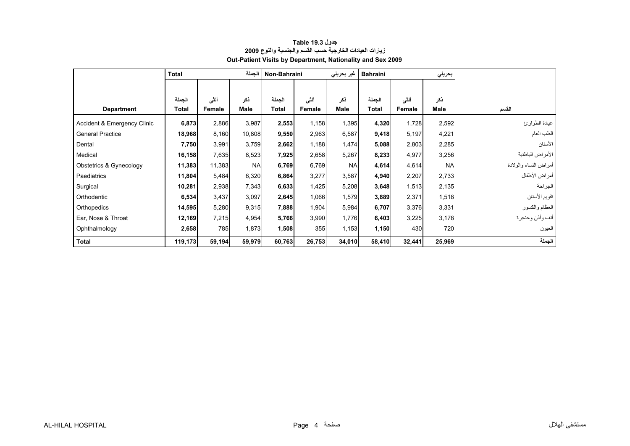<span id="page-2-0"></span>

|                             | الحملة<br>Total |        |           | Non-Bahraini |        | غیر بحرین <i>ی</i> | <b>Bahraini</b> |        | بحريني    |                       |
|-----------------------------|-----------------|--------|-----------|--------------|--------|--------------------|-----------------|--------|-----------|-----------------------|
|                             |                 |        |           |              |        |                    |                 |        |           |                       |
|                             | الجملة          | أنشى   | ذكر       | الجملة       | أننسى  | ذكر                | الجملة          | أنشى   | ذكر       |                       |
| <b>Department</b>           | Total           | Female | Male      | Total        | Female | Male               | Total           | Female | Male      | القسم                 |
| Accident & Emergency Clinic | 6,873           | 2,886  | 3,987     | 2,553        | 1,158  | 1,395              | 4,320           | 1,728  | 2,592     | عيادة الطوارئ         |
| <b>General Practice</b>     | 18,968          | 8,160  | 10,808    | 9,550        | 2,963  | 6,587              | 9,418           | 5,197  | 4,221     | الطب العام            |
| Dental                      | 7,750           | 3,991  | 3,759     | 2,662        | 1,188  | 1,474              | 5,088           | 2,803  | 2,285     | الأسنان               |
| Medical                     | 16,158          | 7,635  | 8,523     | 7,925        | 2,658  | 5,267              | 8,233           | 4,977  | 3,256     | الأمراض الباطنية      |
| Obstetrics & Gynecology     | 11,383          | 11,383 | <b>NA</b> | 6,769        | 6,769  | <b>NA</b>          | 4,614           | 4,614  | <b>NA</b> | أمراض النساء والولادة |
| Paediatrics                 | 11,804          | 5,484  | 6,320     | 6,864        | 3,277  | 3,587              | 4,940           | 2,207  | 2,733     | أمراض الأطفال         |
| Surgical                    | 10,281          | 2,938  | 7,343     | 6,633        | 1,425  | 5,208              | 3,648           | 1,513  | 2,135     | الجراحة               |
| Orthodentic                 | 6,534           | 3,437  | 3,097     | 2,645        | 1,066  | 1,579              | 3,889           | 2,371  | 1,518     | تقويم الأسنان         |
| Orthopedics                 | 14,595          | 5,280  | 9,315     | 7,888        | 1,904  | 5,984              | 6,707           | 3,376  | 3,331     | العظام والكسور        |
| Ear, Nose & Throat          | 12,169          | 7,215  | 4,954     | 5,766        | 3,990  | 1,776              | 6,403           | 3,225  | 3,178     | أنف وأذن وحنجرة       |
| Ophthalmology               | 2,658           | 785    | 1,873     | 1,508        | 355    | 1,153              | 1,150           | 430    | 720       | العيون                |
| <b>Total</b>                | 119,173         | 59,194 | 59,979    | 60,763       | 26,753 | 34,010             | 58,410          | 32,441 | 25,969    | الجملة                |

# **زيارات العيادات الخارجية حسب القسم والجنسية والنوع <sup>2009</sup> Out-Patient Visits by Department, Nationality and Sex 2009 جدول 19.3 Table**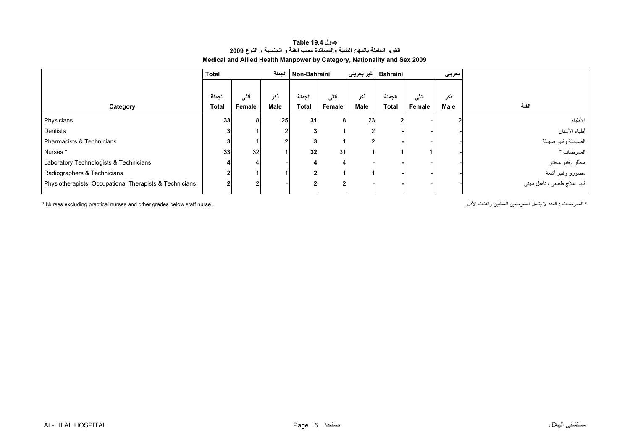<span id="page-3-0"></span>

|                                                         | Total                  | الجملة          |             |                        | Non-Bahraini   |             | Bahraini   غیر بحرینی  | بحريني         |             |                                                 |
|---------------------------------------------------------|------------------------|-----------------|-------------|------------------------|----------------|-------------|------------------------|----------------|-------------|-------------------------------------------------|
| Category                                                | الجملة<br><b>Total</b> | أنشى<br>Female  | ذكر<br>Male | الجملة<br><b>Total</b> | أنشى<br>Female | ذكر<br>Male | الجملة<br><b>Total</b> | أننى<br>Female | ذكر<br>Male | الفنة                                           |
| Physicians                                              | 33                     | 8               | 25          | 31                     | 8              | 23          |                        |                | ົ           | الأطباء                                         |
| Dentists                                                |                        |                 |             |                        |                |             |                        |                |             | أطباء الأسنان                                   |
| Pharmacists & Technicians                               |                        |                 |             | 3                      |                |             |                        |                |             | الصيادلة وفنيو صيدلة                            |
| Nurses*                                                 | 33                     | 32 <sub>l</sub> |             | 32 <sub>1</sub>        | 31             |             |                        |                |             | الممرضات *                                      |
| Laboratory Technologists & Technicians                  |                        |                 |             |                        |                |             |                        |                |             | مطلو وفنيو مختبر                                |
| Radiographers & Technicians                             |                        |                 |             | $\mathbf{2}$           |                |             |                        |                |             | مصورو وفنيو أشعة<br>فنيو علاج طبيعي وتأهيل مهني |
| Physiotherapists, Occupational Therapists & Technicians |                        | $\overline{2}$  |             | $\overline{2}$         |                |             |                        |                |             |                                                 |

#### **القوى العاملة بالمهن الطبية والمساندة حسب الفئة <sup>و</sup> الجنسية <sup>و</sup> النوع <sup>2009</sup> Medical and Allied Health Manpower by Category, Nationality and Sex 2009 جدول 19.4 Table**

\* Nurses excluding practical nurses and other grades below staff nurse . . الأقل والفئات العمليين الممرضين يشمل لا العدد : الممرضات\*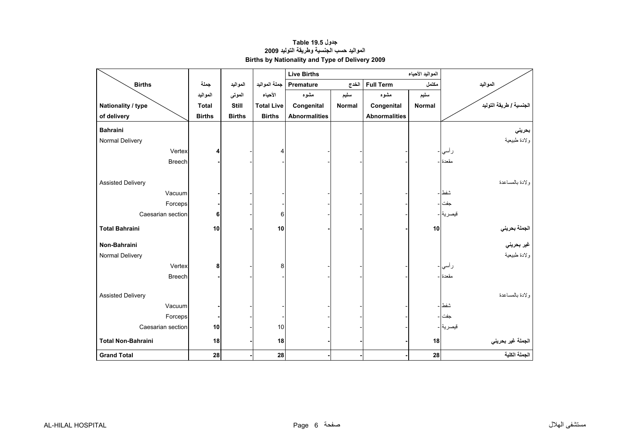# **المواليد حسب الجنسية وطريقة التوليد <sup>2009</sup> Births by Nationality and Type of Delivery 2009 جدول 19.5 Table**

<span id="page-4-0"></span>

|                           |               |               |                   | <b>Live Births</b>   |               |                      |               |                                      |
|---------------------------|---------------|---------------|-------------------|----------------------|---------------|----------------------|---------------|--------------------------------------|
| <b>Births</b>             | جملة          | المواليد      | جملة المواليد     | Premature            | الخدج         | <b>Full Term</b>     | مكتمل         | المواليد                             |
|                           | المواليد      | الموتى        | الأحياء           | مشوه                 | سليم          | مشوه                 | سليم          |                                      |
| Nationality / type        | <b>Total</b>  | <b>Still</b>  | <b>Total Live</b> | Congenital           | <b>Normal</b> | Congenital           | <b>Normal</b> | الجنسية / طريقة التوليد              |
| of delivery               | <b>Births</b> | <b>Births</b> | <b>Births</b>     | <b>Abnormalities</b> |               | <b>Abnormalities</b> |               |                                      |
| <b>Bahraini</b>           |               |               |                   |                      |               |                      |               | بحريني                               |
| Normal Delivery           |               |               |                   |                      |               |                      |               | ولادة طبيعية                         |
| Vertex                    | 4             |               |                   |                      |               |                      |               | ر أسي -                              |
| <b>Breech</b>             |               |               |                   |                      |               |                      |               | مقعدة ا-                             |
| <b>Assisted Delivery</b>  |               |               |                   |                      |               |                      |               | ولادة بالمساعدة                      |
| Vacuum                    |               |               |                   |                      |               |                      |               | شفط –                                |
| Forceps                   |               |               |                   |                      |               |                      |               | جفت ا -                              |
| Caesarian section         | 6             |               | 6                 |                      |               |                      |               | قيصرية -                             |
| <b>Total Bahraini</b>     | 10            |               | 10                |                      |               |                      | 10            | ا <mark>لج</mark> ملة بحرين <i>ي</i> |
| Non-Bahraini              |               |               |                   |                      |               |                      |               | غير بحرين <i>ي</i>                   |
| Normal Delivery           |               |               |                   |                      |               |                      |               | ولادة طبيعية                         |
| Vertex                    | 8             |               | 8                 |                      |               |                      |               | ر أسى  -                             |
| <b>Breech</b>             |               |               |                   |                      |               |                      |               | مقعدة ا-                             |
| <b>Assisted Delivery</b>  |               |               |                   |                      |               |                      |               | ولادة بالمساعدة                      |
| Vacuum                    |               |               |                   |                      |               |                      |               | شفط –                                |
| Forceps                   |               |               |                   |                      |               |                      |               | جفت                                  |
| Caesarian section         | 10            |               | 10                |                      |               |                      |               | قيصرية -                             |
| <b>Total Non-Bahraini</b> | 18            |               | 18                |                      |               |                      | 18            | الجملة غير بحريني                    |
| <b>Grand Total</b>        | 28            |               | 28                |                      |               |                      | 28            | الجملة الكلية                        |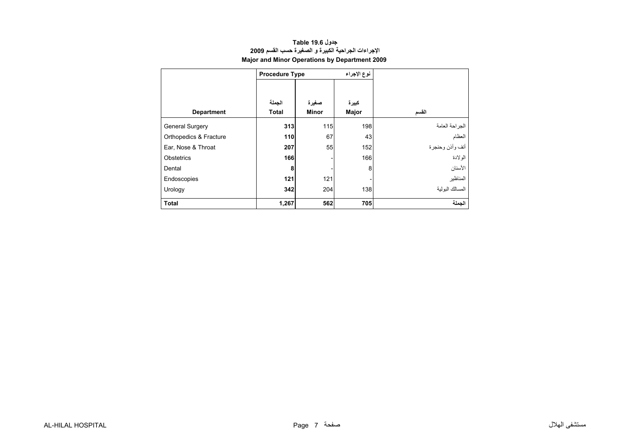<span id="page-5-0"></span>

|                        | <b>Procedure Type</b> |                       | نوع الإجراء    |                 |  |  |
|------------------------|-----------------------|-----------------------|----------------|-----------------|--|--|
| <b>Department</b>      | الجملة<br>Total       | صغيرة<br><b>Minor</b> | كبيرة<br>Major | القسم           |  |  |
| <b>General Surgery</b> | 313                   | 115                   | 198            | الجراحة العامة  |  |  |
| Orthopedics & Fracture | 110                   | 67                    | 43             | العظام          |  |  |
| Ear, Nose & Throat     | 207                   | 55                    | 152            | أنف وأذن وحنجرة |  |  |
| <b>Obstetrics</b>      | 166                   |                       | 166            | الو لادة        |  |  |
| Dental                 | 8                     |                       | 8              | الأسنان         |  |  |
| Endoscopies            | 121                   | 121                   |                | المناظير        |  |  |
| Urology                | 342                   | 204                   | 138            | المسالك البولبة |  |  |
| <b>Total</b>           | 1,267                 | 562                   | 705            | الحملة          |  |  |

### **الإجراءات الجراحية الكبيرة <sup>و</sup> الصغيرة حسب القسم <sup>2009</sup> Major and Minor Operations by Department 2009 جدول 19.6 Table**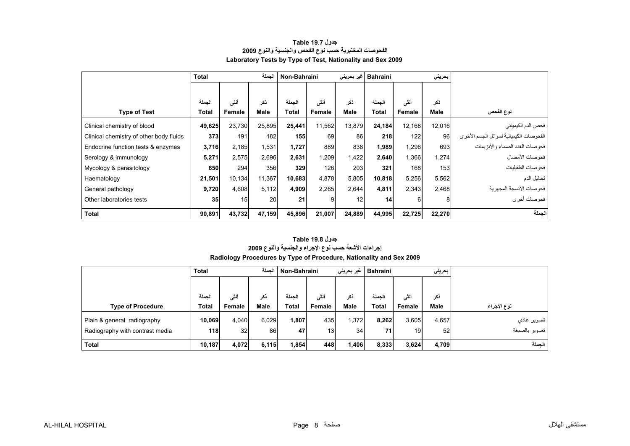<span id="page-6-0"></span>

|                                         | <b>Total</b>    | الجملة |        |              | Non-Bahraini |        | Bahraini  غیر بحرینی |        | بحرينى |                                         |
|-----------------------------------------|-----------------|--------|--------|--------------|--------------|--------|----------------------|--------|--------|-----------------------------------------|
|                                         |                 |        |        |              |              |        |                      |        |        |                                         |
|                                         | الجملة          | أننى   | ڏکر    | الجملة       | أنشى         | ذكر    | الجملة               | أنشى   | نكر    |                                         |
| <b>Type of Test</b>                     | Total           | Female | Male   | <b>Total</b> | Female       | Male   | Total                | Female | Male   | نوع الفحص                               |
| Clinical chemistry of blood             | 49,625          | 23,730 | 25,895 | 25,441       | 11,562       | 13,879 | 24.184               | 12,168 | 12,016 | فحص الدم الكيميائي                      |
| Clinical chemistry of other body fluids | 373             | 191    | 182    | 155          | 69           | 86     | 218                  | 122    | 96     | الفحوصات الكيميائية لسوائل الجسم الأخرى |
| Endocrine function tests & enzymes      | 3,716           | 2,185  | 1,531  | 1,727        | 889          | 838    | 1,989                | 1,296  | 693    | فحو صات الغدد الصماء و الأنز بمات       |
| Serology & immunology                   | 5,271           | 2,575  | 2,696  | 2,631        | 1,209        | 1,422  | 2,640                | 1,366  | 1,274  | فحو صبات الأمصيال                       |
| Mycology & parasitology                 | 650             | 294    | 356    | 329          | 126          | 203    | 321                  | 168    | 153    | فحو صات الطفيليات                       |
| Haematology                             | 21,501          | 10,134 | 11,367 | 10,683       | 4,878        | 5,805  | 10,818               | 5,256  | 5,562  | تحاليل الدم                             |
| General pathology                       | 9,720           | 4,608  | 5,112  | 4,909        | 2,265        | 2,644  | 4,811                | 2,343  | 2,468  | فحو صبات الأنسجة المجهر ية              |
| Other laboratories tests                | 35 <sub>l</sub> | 15     | 20     | 21           | 9            | 12     | 14                   | 6      | 8      | فحوصات أخرى                             |
| <b>Total</b>                            | 90,891          | 43,732 | 47,159 | 45,896       | 21,007       | 24,889 | 44,995               | 22,725 | 22,270 | الحملة                                  |

### **الفحوصات المختبرية حسب نوع الفحص والجنسية والنوع <sup>2009</sup> Laboratory Tests by Type of Test, Nationality and Sex 2009 جدول 19.7 Table**

### **Radiology Procedures by Type of Procedure, Nationality and Sex 2009 جدول 19.8 Table إجراءات الأشعة حسب نوع الإجراء والجنسية والنوع <sup>2009</sup>**

|                                 | الحملة<br><b>Total</b> |                 |             | Non-Bahraini |                 | غیر بحرین <i>ی</i> | <b>Bahraini</b><br>بحريني |        |       |               |
|---------------------------------|------------------------|-----------------|-------------|--------------|-----------------|--------------------|---------------------------|--------|-------|---------------|
|                                 |                        |                 |             |              |                 |                    |                           |        |       |               |
|                                 | الحملة                 | أنشى            | نكر         | الحملة       | أنشى            | نكر                | الحملة                    | أنشى   | نکر   |               |
| <b>Type of Procedure</b>        | Total                  | Female          | <b>Male</b> | Total        | Female          | Male               | Total                     | Female | Male  | نوع الإجراء   |
| Plain & general radiography     | 10,069                 | 4,040           | 6,029       | 1,807        | 435             | .372               | 8,262                     | 3,605  | 4,657 | تصوير عادي    |
| Radiography with contrast media | 118                    | 32 <sub>l</sub> | 86          | 47           | 13 <sub>1</sub> | 34                 | 71                        | 19     | 52    | تصوير بالصبغة |
| Total                           | 10,187                 | 4,072           | 6,115       | 1,854        | 448             | 1,406              | 8,333                     | 3,624  | 4.709 | الجملة        |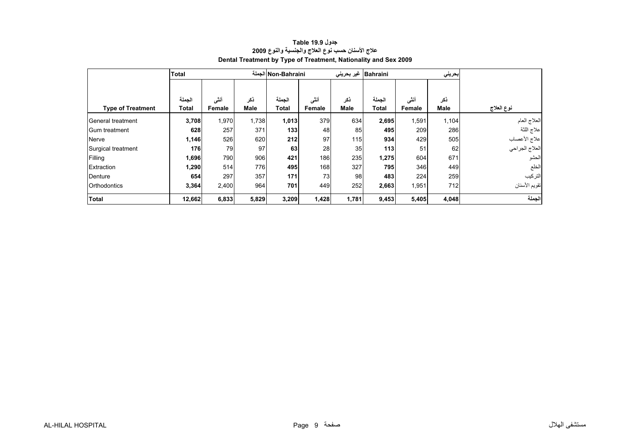<span id="page-7-0"></span>

|                          | <b>Total</b>    |                |             | Non-Bahraini الجملة    |                 | Bahraini   غیر بحرینی |                        |                | بحريني      |                |
|--------------------------|-----------------|----------------|-------------|------------------------|-----------------|-----------------------|------------------------|----------------|-------------|----------------|
| <b>Type of Treatment</b> | الجملة<br>Total | أنشى<br>Female | ذكر<br>Male | الجملة<br><b>Total</b> | أننسى<br>Female | ذكر<br>Male           | الجملة<br><b>Total</b> | أنشى<br>Female | ذكر<br>Male | نوع العلاج     |
| General treatment        | 3,708           | 1,970          | 1,738       | 1,013                  | 379             | 634                   | 2,695                  | 1,591          | 1,104       | العلاج العام   |
| <b>Gum treatment</b>     | 628             | 257            | 371         | 133                    | 48              | 85                    | 495                    | 209            | 286         | علاج اللثة     |
| Nerve                    | 1,146           | 526            | 620         | 212                    | 97              | 115                   | 934                    | 429            | 505         | علاج الأعصاب   |
| Surgical treatment       | 176             | 79             | 97          | 63                     | 28              | 35                    | 113                    | 51             | 62          | العلاج الجراحي |
| Filling                  | 1,696           | 790            | 906         | 421                    | 186             | 235                   | 1,275                  | 604            | 671         | الحشو          |
| Extraction               | 1,290           | 514            | 776         | 495                    | 168             | 327                   | 795                    | 346            | 449         | الخلع          |
| Denture                  | 654             | 297            | 357         | 171                    | 73              | 98                    | 483                    | 224            | 259         | التركيب        |
| <b>Orthodontics</b>      | 3,364           | 2,400          | 964         | 701                    | 449             | 252                   | 2,663                  | 1,951          | 712         | تقويم الأسنان  |
| <b>Total</b>             | 12,662          | 6,833          | 5,829       | 3,209                  | 1,428           | 1,781                 | 9,453                  | 5,405          | 4,048       | الجملة         |

# **علاج الأسنان حسب نوع العلاج والجنسية والنوع <sup>2009</sup> Dental Treatment by Type of Treatment, Nationality and Sex 2009 جدول 19.9 Table**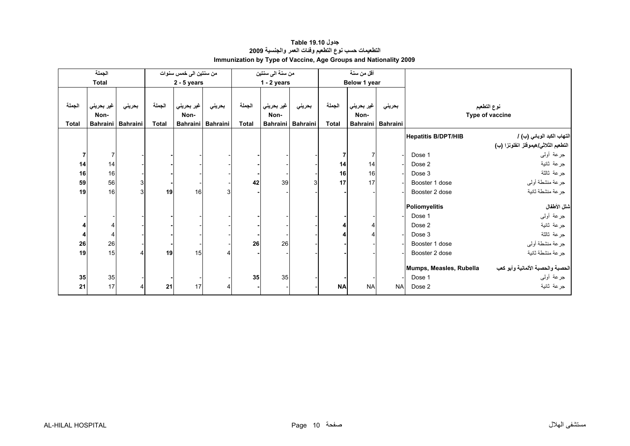<span id="page-8-0"></span>

|              | الجملة          |                 |              | من سنتين الى خمس سنوات |                 |              | من سنة الى سنتين |                   |              | أقل من سنة      |                 |                            |                                      |
|--------------|-----------------|-----------------|--------------|------------------------|-----------------|--------------|------------------|-------------------|--------------|-----------------|-----------------|----------------------------|--------------------------------------|
|              | <b>Total</b>    |                 |              | $2 - 5$ years          |                 |              | $1 - 2$ years    |                   |              | Below 1 year    |                 |                            |                                      |
|              |                 |                 |              |                        |                 |              |                  |                   |              |                 |                 |                            |                                      |
| الجملة       | غير بحريني      | بحريني          | الجملة       | غير بحريني             | بحريني          | الجملة       | غير بحريني       | بحريني            | الجملة       | غير بحريني      | بحريني          |                            | نوع التطعيم                          |
|              | Non-            |                 |              | Non-                   |                 |              | Non-             |                   |              | Non-            |                 |                            | Type of vaccine                      |
| <b>Total</b> | <b>Bahraini</b> | <b>Bahraini</b> | <b>Total</b> | <b>Bahraini</b>        | <b>Bahraini</b> | <b>Total</b> |                  | Bahraini Bahraini | <b>Total</b> | <b>Bahraini</b> | <b>Bahraini</b> |                            |                                      |
|              |                 |                 |              |                        |                 |              |                  |                   |              |                 |                 |                            |                                      |
|              |                 |                 |              |                        |                 |              |                  |                   |              |                 |                 | <b>Hepatitis B/DPT/HIB</b> | التهاب الكبد الوبائي (ب) /           |
|              |                 |                 |              |                        |                 |              |                  |                   |              |                 |                 |                            | التطعيم الثلاثي/هيموفلز انفلونزا (ب) |
| 7            | $\overline{7}$  |                 |              |                        |                 |              |                  |                   |              | 7               |                 | Dose 1                     | جرعة أولىي                           |
| 14           | 14              |                 |              |                        |                 |              |                  |                   | 14           | 14              |                 | Dose 2                     | جرعة ثانية                           |
| 16           | 16              |                 |              |                        |                 |              |                  |                   | 16           | 16              |                 | Dose 3                     | جرعة ثالثة                           |
| 59           | 56              | $\overline{3}$  |              |                        |                 | 42           | 39               | 3                 | 17           | 17              |                 | Booster 1 dose             | جرعة منشطة أولى                      |
| 19           | 16              | 3               | 19           | 16                     | $\overline{3}$  |              |                  |                   |              |                 |                 | Booster 2 dose             | جرعة منشطة ثانية                     |
|              |                 |                 |              |                        |                 |              |                  |                   |              |                 |                 | Poliomyelitis              | شلل الأطفال                          |
|              |                 |                 |              |                        |                 |              |                  |                   |              |                 |                 | Dose 1                     | جرعة أولىي                           |
|              | 4               |                 |              |                        |                 |              |                  |                   |              |                 |                 | Dose 2                     | جرعة ثانية                           |
|              | $\overline{4}$  |                 |              |                        |                 |              |                  |                   |              |                 |                 | Dose 3                     | جرعة ثالثة                           |
| 26           | 26              |                 |              |                        |                 | 26           | 26               |                   |              |                 |                 | Booster 1 dose             | جرعة منشطة أوليي                     |
| 19           | 15              | 4               | 19           | 15                     |                 |              |                  |                   |              |                 |                 | Booster 2 dose             | جرعة منشطة ثانية                     |
|              |                 |                 |              |                        |                 |              |                  |                   |              |                 |                 | Mumps, Measles, Rubella    | الحصبة والحصبة الألمانية وأبو كعب    |
|              |                 |                 |              |                        |                 |              |                  |                   |              |                 |                 |                            |                                      |
| 35           | 35              |                 |              |                        |                 | 35           | 35               |                   |              |                 |                 | Dose 1                     | جرعة أولىي                           |
| 21           | 17              | 4               | 21           | 17                     |                 |              |                  |                   | <b>NA</b>    | <b>NA</b>       | <b>NA</b>       | Dose 2                     | جرعة ثانية                           |

# **التطعيمات حسب نوع التطعيم وفئات العمر والجنسية <sup>2009</sup> Immunization by Type of Vaccine, Age Groups and Nationality 2009 جدول 19.10 Table**